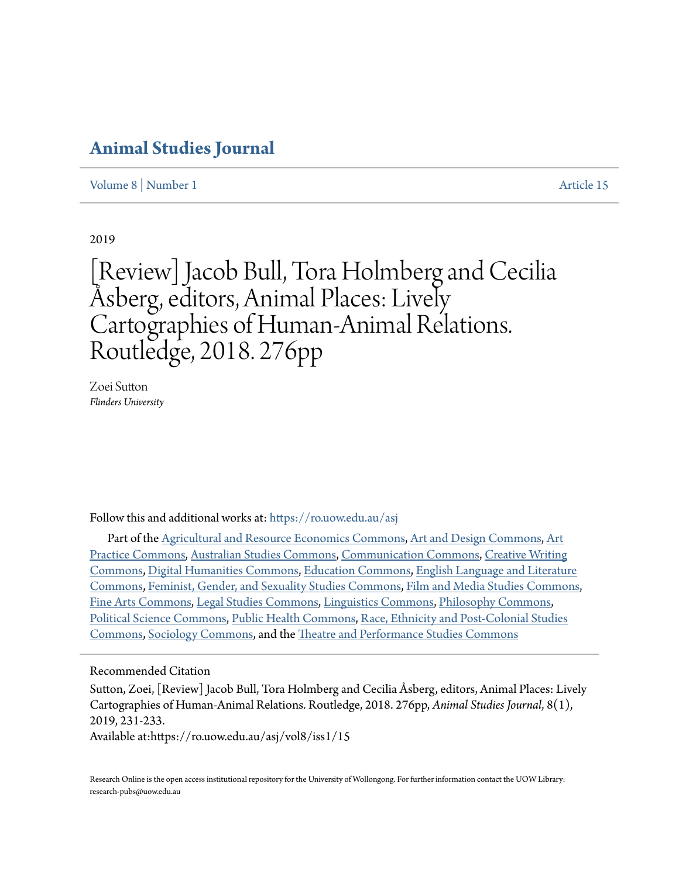## **[Animal Studies Journal](https://ro.uow.edu.au/asj?utm_source=ro.uow.edu.au%2Fasj%2Fvol8%2Fiss1%2F15&utm_medium=PDF&utm_campaign=PDFCoverPages)**

[Volume 8](https://ro.uow.edu.au/asj/vol8?utm_source=ro.uow.edu.au%2Fasj%2Fvol8%2Fiss1%2F15&utm_medium=PDF&utm_campaign=PDFCoverPages) | [Number 1](https://ro.uow.edu.au/asj/vol8/iss1?utm_source=ro.uow.edu.au%2Fasj%2Fvol8%2Fiss1%2F15&utm_medium=PDF&utm_campaign=PDFCoverPages) [Article 15](https://ro.uow.edu.au/asj/vol8/iss1/15?utm_source=ro.uow.edu.au%2Fasj%2Fvol8%2Fiss1%2F15&utm_medium=PDF&utm_campaign=PDFCoverPages)

2019

[Review] Jacob Bull, Tora Holmberg and Cecilia Åsberg, editors, Animal Places: Lively Cartographies of Human-Animal Relations. Routledge, 2018. 276pp

Zoei Sutton *Flinders University*

Follow this and additional works at: [https://ro.uow.edu.au/asj](https://ro.uow.edu.au/asj?utm_source=ro.uow.edu.au%2Fasj%2Fvol8%2Fiss1%2F15&utm_medium=PDF&utm_campaign=PDFCoverPages)

Part of the [Agricultural and Resource Economics Commons](http://network.bepress.com/hgg/discipline/317?utm_source=ro.uow.edu.au%2Fasj%2Fvol8%2Fiss1%2F15&utm_medium=PDF&utm_campaign=PDFCoverPages), [Art and Design Commons](http://network.bepress.com/hgg/discipline/1049?utm_source=ro.uow.edu.au%2Fasj%2Fvol8%2Fiss1%2F15&utm_medium=PDF&utm_campaign=PDFCoverPages), [Art](http://network.bepress.com/hgg/discipline/509?utm_source=ro.uow.edu.au%2Fasj%2Fvol8%2Fiss1%2F15&utm_medium=PDF&utm_campaign=PDFCoverPages) [Practice Commons](http://network.bepress.com/hgg/discipline/509?utm_source=ro.uow.edu.au%2Fasj%2Fvol8%2Fiss1%2F15&utm_medium=PDF&utm_campaign=PDFCoverPages), [Australian Studies Commons](http://network.bepress.com/hgg/discipline/1020?utm_source=ro.uow.edu.au%2Fasj%2Fvol8%2Fiss1%2F15&utm_medium=PDF&utm_campaign=PDFCoverPages), [Communication Commons](http://network.bepress.com/hgg/discipline/325?utm_source=ro.uow.edu.au%2Fasj%2Fvol8%2Fiss1%2F15&utm_medium=PDF&utm_campaign=PDFCoverPages), [Creative Writing](http://network.bepress.com/hgg/discipline/574?utm_source=ro.uow.edu.au%2Fasj%2Fvol8%2Fiss1%2F15&utm_medium=PDF&utm_campaign=PDFCoverPages) [Commons,](http://network.bepress.com/hgg/discipline/574?utm_source=ro.uow.edu.au%2Fasj%2Fvol8%2Fiss1%2F15&utm_medium=PDF&utm_campaign=PDFCoverPages) [Digital Humanities Commons](http://network.bepress.com/hgg/discipline/1286?utm_source=ro.uow.edu.au%2Fasj%2Fvol8%2Fiss1%2F15&utm_medium=PDF&utm_campaign=PDFCoverPages), [Education Commons](http://network.bepress.com/hgg/discipline/784?utm_source=ro.uow.edu.au%2Fasj%2Fvol8%2Fiss1%2F15&utm_medium=PDF&utm_campaign=PDFCoverPages), [English Language and Literature](http://network.bepress.com/hgg/discipline/455?utm_source=ro.uow.edu.au%2Fasj%2Fvol8%2Fiss1%2F15&utm_medium=PDF&utm_campaign=PDFCoverPages) [Commons,](http://network.bepress.com/hgg/discipline/455?utm_source=ro.uow.edu.au%2Fasj%2Fvol8%2Fiss1%2F15&utm_medium=PDF&utm_campaign=PDFCoverPages) [Feminist, Gender, and Sexuality Studies Commons,](http://network.bepress.com/hgg/discipline/559?utm_source=ro.uow.edu.au%2Fasj%2Fvol8%2Fiss1%2F15&utm_medium=PDF&utm_campaign=PDFCoverPages) [Film and Media Studies Commons,](http://network.bepress.com/hgg/discipline/563?utm_source=ro.uow.edu.au%2Fasj%2Fvol8%2Fiss1%2F15&utm_medium=PDF&utm_campaign=PDFCoverPages) [Fine Arts Commons,](http://network.bepress.com/hgg/discipline/1141?utm_source=ro.uow.edu.au%2Fasj%2Fvol8%2Fiss1%2F15&utm_medium=PDF&utm_campaign=PDFCoverPages) [Legal Studies Commons](http://network.bepress.com/hgg/discipline/366?utm_source=ro.uow.edu.au%2Fasj%2Fvol8%2Fiss1%2F15&utm_medium=PDF&utm_campaign=PDFCoverPages), [Linguistics Commons](http://network.bepress.com/hgg/discipline/371?utm_source=ro.uow.edu.au%2Fasj%2Fvol8%2Fiss1%2F15&utm_medium=PDF&utm_campaign=PDFCoverPages), [Philosophy Commons,](http://network.bepress.com/hgg/discipline/525?utm_source=ro.uow.edu.au%2Fasj%2Fvol8%2Fiss1%2F15&utm_medium=PDF&utm_campaign=PDFCoverPages) [Political Science Commons](http://network.bepress.com/hgg/discipline/386?utm_source=ro.uow.edu.au%2Fasj%2Fvol8%2Fiss1%2F15&utm_medium=PDF&utm_campaign=PDFCoverPages), [Public Health Commons,](http://network.bepress.com/hgg/discipline/738?utm_source=ro.uow.edu.au%2Fasj%2Fvol8%2Fiss1%2F15&utm_medium=PDF&utm_campaign=PDFCoverPages) [Race, Ethnicity and Post-Colonial Studies](http://network.bepress.com/hgg/discipline/566?utm_source=ro.uow.edu.au%2Fasj%2Fvol8%2Fiss1%2F15&utm_medium=PDF&utm_campaign=PDFCoverPages) [Commons,](http://network.bepress.com/hgg/discipline/566?utm_source=ro.uow.edu.au%2Fasj%2Fvol8%2Fiss1%2F15&utm_medium=PDF&utm_campaign=PDFCoverPages) [Sociology Commons](http://network.bepress.com/hgg/discipline/416?utm_source=ro.uow.edu.au%2Fasj%2Fvol8%2Fiss1%2F15&utm_medium=PDF&utm_campaign=PDFCoverPages), and the [Theatre and Performance Studies Commons](http://network.bepress.com/hgg/discipline/552?utm_source=ro.uow.edu.au%2Fasj%2Fvol8%2Fiss1%2F15&utm_medium=PDF&utm_campaign=PDFCoverPages)

Recommended Citation

Sutton, Zoei, [Review] Jacob Bull, Tora Holmberg and Cecilia Åsberg, editors, Animal Places: Lively Cartographies of Human-Animal Relations. Routledge, 2018. 276pp, *Animal Studies Journal*, 8(1), 2019, 231-233.

Available at:https://ro.uow.edu.au/asj/vol8/iss1/15

Research Online is the open access institutional repository for the University of Wollongong. For further information contact the UOW Library: research-pubs@uow.edu.au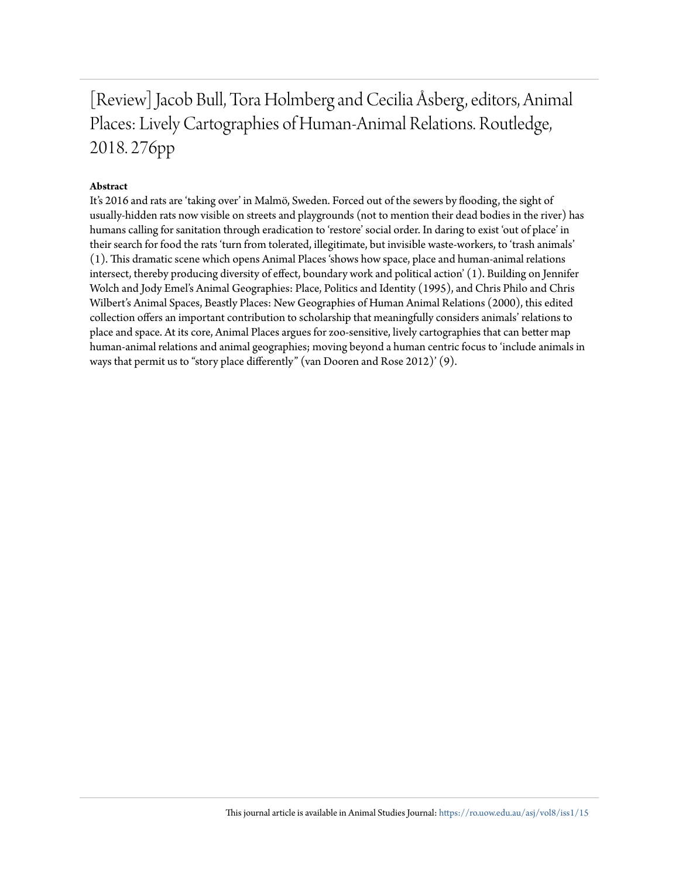[Review] Jacob Bull, Tora Holmberg and Cecilia Åsberg, editors, Animal Places: Lively Cartographies of Human-Animal Relations. Routledge, 2018. 276pp

## **Abstract**

It's 2016 and rats are 'taking over' in Malmö, Sweden. Forced out of the sewers by flooding, the sight of usually-hidden rats now visible on streets and playgrounds (not to mention their dead bodies in the river) has humans calling for sanitation through eradication to 'restore' social order. In daring to exist 'out of place' in their search for food the rats 'turn from tolerated, illegitimate, but invisible waste-workers, to 'trash animals' (1). This dramatic scene which opens Animal Places 'shows how space, place and human-animal relations intersect, thereby producing diversity of effect, boundary work and political action' (1). Building on Jennifer Wolch and Jody Emel's Animal Geographies: Place, Politics and Identity (1995), and Chris Philo and Chris Wilbert's Animal Spaces, Beastly Places: New Geographies of Human Animal Relations (2000), this edited collection offers an important contribution to scholarship that meaningfully considers animals' relations to place and space. At its core, Animal Places argues for zoo-sensitive, lively cartographies that can better map human-animal relations and animal geographies; moving beyond a human centric focus to 'include animals in ways that permit us to "story place differently" (van Dooren and Rose 2012)' (9).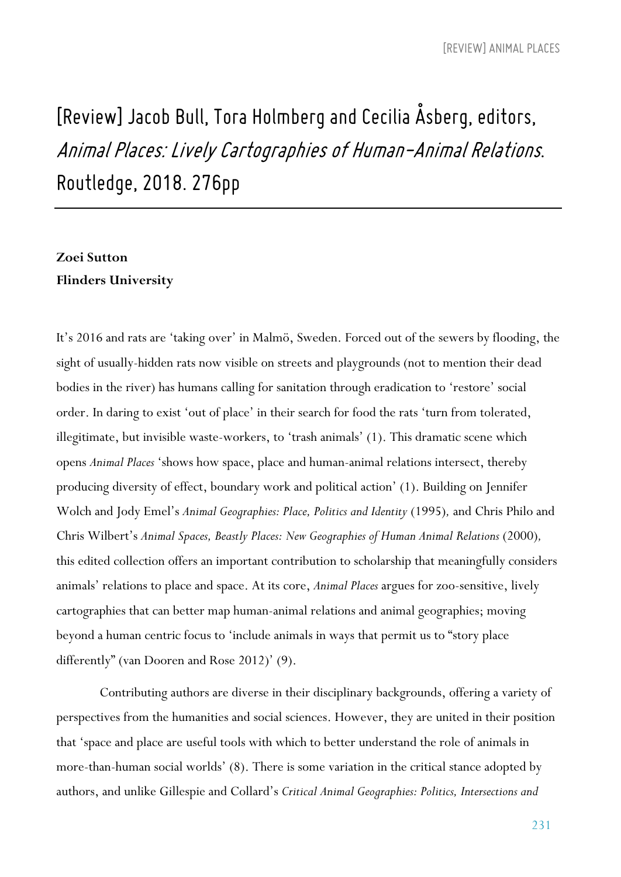## *[Review] Jacob Bull, Tora Holmberg andCecilia Åsberg, editors, Animal Places: LivelyCartographiesof Human-Animal Relations. Routledge, 2018. 276pp*

## **Zoei Sutton Flinders University**

It's 2016 and rats are 'taking over' in Malmö, Sweden. Forced out of the sewers by flooding, the sight of usually-hidden rats now visible on streets and playgrounds (not to mention their dead bodies in the river) has humans calling for sanitation through eradication to 'restore' social order. In daring to exist 'out of place' in their search for food the rats 'turn from tolerated, illegitimate, but invisible waste-workers, to 'trash animals' (1). This dramatic scene which opens *Animal Places* 'shows how space, place and human-animal relations intersect, thereby producing diversity of effect, boundary work and political action' (1). Building on Jennifer Wolch and Jody Emel's *Animal Geographies: Place, Politics and Identity* (1995)*,* and Chris Philo and Chris Wilbert's *Animal Spaces, Beastly Places: New Geographies of Human Animal Relations* (2000)*,* this edited collection offers an important contribution to scholarship that meaningfully considers animals' relations to place and space. At its core, *Animal Places* argues for zoo-sensitive, lively cartographies that can better map human-animal relations and animal geographies; moving beyond a human centric focus to 'include animals in ways that permit us to "story place differently" (van Dooren and Rose 2012)' (9).

Contributing authors are diverse in their disciplinary backgrounds, offering a variety of perspectives from the humanities and social sciences. However, they are united in their position that 'space and place are useful tools with which to better understand the role of animals in more-than-human social worlds' (8). There is some variation in the critical stance adopted by authors, and unlike Gillespie and Collard's *Critical Animal Geographies: Politics, Intersections and*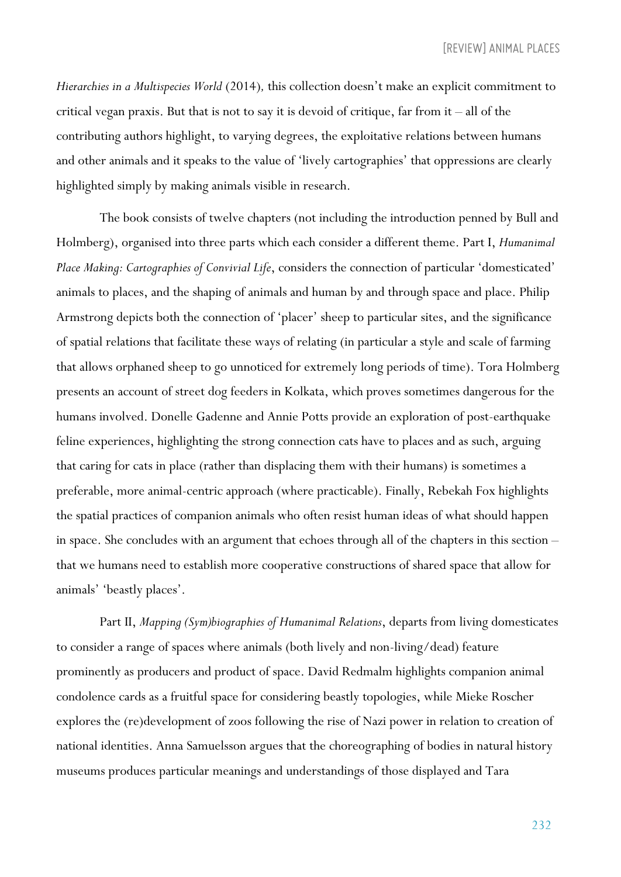*Hierarchies in a Multispecies World* (2014)*,* this collection doesn't make an explicit commitment to critical vegan praxis. But that is not to say it is devoid of critique, far from it – all of the contributing authors highlight, to varying degrees, the exploitative relations between humans and other animals and it speaks to the value of 'lively cartographies' that oppressions are clearly highlighted simply by making animals visible in research.

The book consists of twelve chapters (not including the introduction penned by Bull and Holmberg), organised into three parts which each consider a different theme. Part I, *Humanimal Place Making: Cartographies of Convivial Life*, considers the connection of particular 'domesticated' animals to places, and the shaping of animals and human by and through space and place. Philip Armstrong depicts both the connection of 'placer' sheep to particular sites, and the significance of spatial relations that facilitate these ways of relating (in particular a style and scale of farming that allows orphaned sheep to go unnoticed for extremely long periods of time). Tora Holmberg presents an account of street dog feeders in Kolkata, which proves sometimes dangerous for the humans involved. Donelle Gadenne and Annie Potts provide an exploration of post-earthquake feline experiences, highlighting the strong connection cats have to places and as such, arguing that caring for cats in place (rather than displacing them with their humans) is sometimes a preferable, more animal-centric approach (where practicable). Finally, Rebekah Fox highlights the spatial practices of companion animals who often resist human ideas of what should happen in space. She concludes with an argument that echoes through all of the chapters in this section – that we humans need to establish more cooperative constructions of shared space that allow for animals' 'beastly places'.

Part II, *Mapping (Sym)biographies of Humanimal Relations*, departs from living domesticates to consider a range of spaces where animals (both lively and non-living/dead) feature prominently as producers and product of space. David Redmalm highlights companion animal condolence cards as a fruitful space for considering beastly topologies, while Mieke Roscher explores the (re)development of zoos following the rise of Nazi power in relation to creation of national identities. Anna Samuelsson argues that the choreographing of bodies in natural history museums produces particular meanings and understandings of those displayed and Tara

232